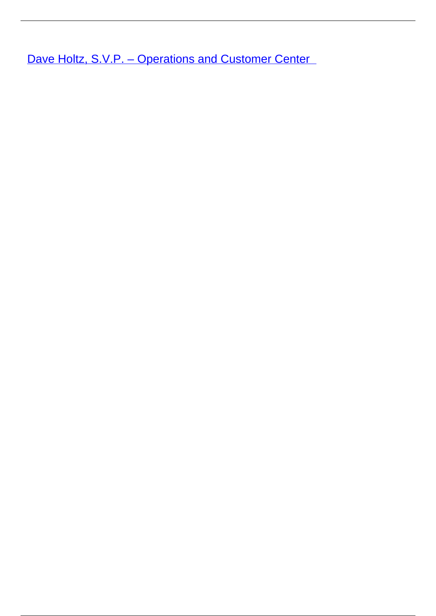Dave Holtz, S.V.P. - Operations and Customer Center